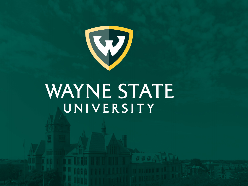

# WAYNE STATE UNIVERSITY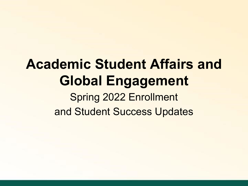# **Academic Student Affairs and Global Engagement** Spring 2022 Enrollment and Student Success Updates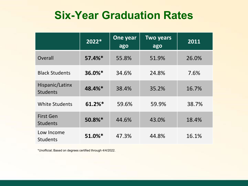### **Six-Year Graduation Rates**

|                                     | 2022*     | One year<br>ago | <b>Two years</b><br>ago | 2011  |
|-------------------------------------|-----------|-----------------|-------------------------|-------|
| Overall                             | $57.4%$ * | 55.8%           | 51.9%                   | 26.0% |
| <b>Black Students</b>               | $36.0\%*$ | 34.6%           | 24.8%                   | 7.6%  |
| Hispanic/Latinx<br><b>Students</b>  | 48.4%*    | 38.4%           | 35.2%                   | 16.7% |
| <b>White Students</b>               | 61.2%*    | 59.6%           | 59.9%                   | 38.7% |
| <b>First Gen</b><br><b>Students</b> | 50.8%*    | 44.6%           | 43.0%                   | 18.4% |
| Low Income<br><b>Students</b>       | 51.0%*    | 47.3%           | 44.8%                   | 16.1% |

\*Unofficial; Based on degrees certified through 4/4/2022.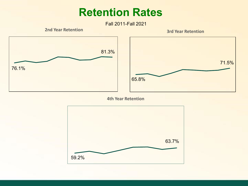### **Retention Rates**

Fall 2011-Fall 2021

**2nd Year Retention 3rd Year Retention**





**4th Year Retention**

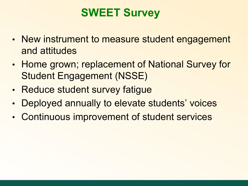## **SWEET Survey**

- New instrument to measure student engagement and attitudes
- Home grown; replacement of National Survey for Student Engagement (NSSE)
- Reduce student survey fatigue
- Deployed annually to elevate students' voices
- Continuous improvement of student services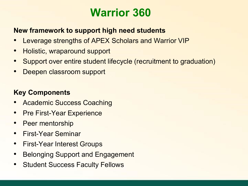### **Warrior 360**

### **New framework to support high need students**

- Leverage strengths of APEX Scholars and Warrior VIP
- Holistic, wraparound support
- Support over entire student lifecycle (recruitment to graduation)
- Deepen classroom support

### **Key Components**

- Academic Success Coaching
- **Pre First-Year Experience**
- Peer mentorship
- First-Year Seminar
- First-Year Interest Groups
- Belonging Support and Engagement
- Student Success Faculty Fellows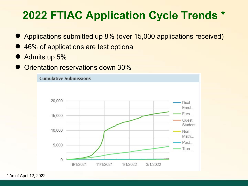## **2022 FTIAC Application Cycle Trends \***

- Applications submitted up 8% (over 15,000 applications received)
- 46% of applications are test optional
- Admits up 5%
- Orientation reservations down 30%



\* As of April 12, 2022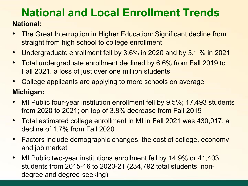### **National and Local Enrollment Trends National:**

- The Great Interruption in Higher Education: Significant decline from straight from high school to college enrollment
- Undergraduate enrollment fell by 3.6% in 2020 and by 3.1 % in 2021
- Total undergraduate enrollment declined by 6.6% from Fall 2019 to Fall 2021, a loss of just over one million students
- College applicants are applying to more schools on average

### **Michigan:**

- MI Public four-year institution enrollment fell by 9.5%; 17,493 students from 2020 to 2021; on top of 3.8% decrease from Fall 2019
- Total estimated college enrollment in MI in Fall 2021 was 430,017, a decline of 1.7% from Fall 2020
- Factors include demographic changes, the cost of college, economy and job market
- MI Public two-year institutions enrollment fell by 14.9% or 41,403 students from 2015-16 to 2020-21 (234,792 total students; nondegree and degree-seeking)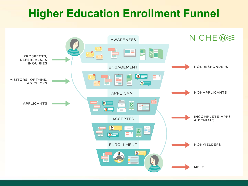## **Higher Education Enrollment Funnel**

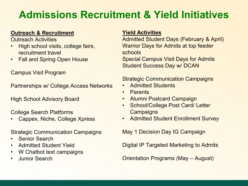### **Admissions Recruitment & Yield Initiatives**

#### **Outreach & Recruitment**

Outreach Activities

- High school visits, college fairs, recruitment travel
- Fall and Spring Open House

Campus Visit Program

Partnerships w/ College Access Networks

High School Advisory Board

College Search Platforms

• Cappex, Niche, College Xpress

Strategic Communication Campaigns

- Senior Search
- Admitted Student Yield
- W Chatbot text campaigns
- Junior Search

#### **Yield Activities**

Admitted Student Days (February & April) Warrior Days for Admits at top feeder schools

Special Campus Visit Days for Admits Student Success Day w/ DCAN

#### Strategic Communication Campaigns

- Admitted Students
- Parents
- Alumni Postcard Campaign
- School/College Post Card/ Letter **Campaigns**
- Admitted Student Enrollment Survey

May 1 Decision Day IG Campaign

Digital IP Targeted Marketing to Admits

Orientation Programs (May – August)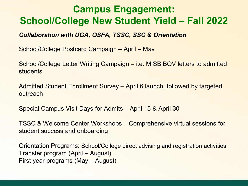### **Campus Engagement: School/College New Student Yield – Fall 2022**

#### *Collaboration with UGA, OSFA, TSSC, SSC & Orientation*

School/College Postcard Campaign – April – May

School/College Letter Writing Campaign – i.e. MISB BOV letters to admitted students

Admitted Student Enrollment Survey – April 6 launch; followed by targeted outreach

Special Campus Visit Days for Admits – April 15 & April 30

TSSC & Welcome Center Workshops – Comprehensive virtual sessions for student success and onboarding

Orientation Programs: School/College direct advising and registration activities Transfer program (April – August) First year programs (May – August)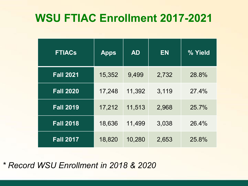## **WSU FTIAC Enrollment 2017-2021**

| <b>FTIACs</b>    | <b>Apps</b> | <b>AD</b> | <b>EN</b> | % Yield |
|------------------|-------------|-----------|-----------|---------|
| <b>Fall 2021</b> | 15,352      | 9,499     | 2,732     | 28.8%   |
| <b>Fall 2020</b> | 17,248      | 11,392    | 3,119     | 27.4%   |
| <b>Fall 2019</b> | 17,212      | 11,513    | 2,968     | 25.7%   |
| <b>Fall 2018</b> | 18,636      | 11,499    | 3,038     | 26.4%   |
| <b>Fall 2017</b> | 18,820      | 10,280    | 2,653     | 25.8%   |

*\* Record WSU Enrollment in 2018 & 2020*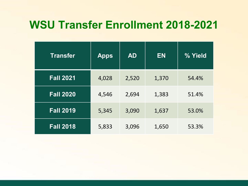### **WSU Transfer Enrollment 2018-2021**

| <b>Transfer</b>  | <b>Apps</b> | <b>AD</b> | <b>EN</b> | % Yield |
|------------------|-------------|-----------|-----------|---------|
| <b>Fall 2021</b> | 4,028       | 2,520     | 1,370     | 54.4%   |
| <b>Fall 2020</b> | 4,546       | 2,694     | 1,383     | 51.4%   |
| <b>Fall 2019</b> | 5,345       | 3,090     | 1,637     | 53.0%   |
| <b>Fall 2018</b> | 5,833       | 3,096     | 1,650     | 53.3%   |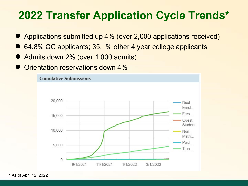## **2022 Transfer Application Cycle Trends\***

- Applications submitted up 4% (over 2,000 applications received)
- 64.8% CC applicants; 35.1% other 4 year college applicants
- Admits down 2% (over 1,000 admits)
- Orientation reservations down 4%



\* As of April 12, 2022